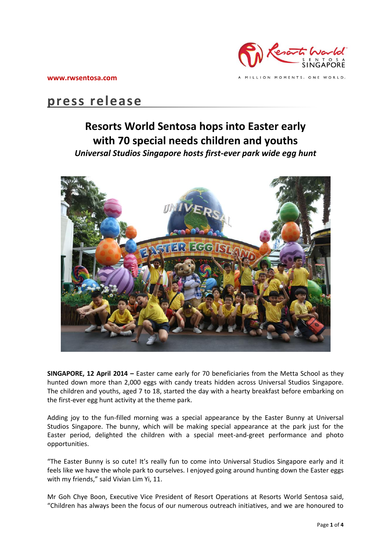

# **press release**

## **Resorts World Sentosa hops into Easter early with 70 special needs children and youths** *Universal Studios Singapore hosts first-ever park wide egg hunt*



**SINGAPORE, 12 April 2014 –** Easter came early for 70 beneficiaries from the Metta School as they hunted down more than 2,000 eggs with candy treats hidden across Universal Studios Singapore. The children and youths, aged 7 to 18, started the day with a hearty breakfast before embarking on the first-ever egg hunt activity at the theme park.

Adding joy to the fun-filled morning was a special appearance by the Easter Bunny at Universal Studios Singapore. The bunny, which will be making special appearance at the park just for the Easter period, delighted the children with a special meet-and-greet performance and photo opportunities.

"The Easter Bunny is so cute! It's really fun to come into Universal Studios Singapore early and it feels like we have the whole park to ourselves. I enjoyed going around hunting down the Easter eggs with my friends," said Vivian Lim Yi, 11.

Mr Goh Chye Boon, Executive Vice President of Resort Operations at Resorts World Sentosa said, "Children has always been the focus of our numerous outreach initiatives, and we are honoured to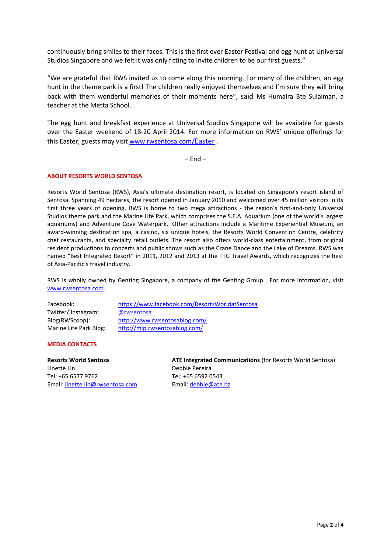continuously bring smiles to their faces. This is the first ever Easter Festival and egg hunt at Universal Studios Singapore and we felt it was only fitting to invite children to be our first guests."

"We are grateful that RWS invited us to come along this morning. For many of the children, an egg hunt in the theme park is a first! The children really enjoyed themselves and I'm sure they will bring back with them wonderful memories of their moments here", said Ms Humaira Bte Sulaiman, a teacher at the Metta School.

The egg hunt and breakfast experience at Universal Studios Singapore will be available for guests over the Easter weekend of 18-20 April 2014. For more information on RWS' unique offerings for this Easter, guests may visit [www.rwsentosa.com](http://www.rwsentosa.com/Easter)/Easter .

 $-$  Fnd  $-$ 

### **ABOUT RESORTS WORLD SENTOSA**

Resorts World Sentosa (RWS), Asia's ultimate destination resort, is located on Singapore's resort island of Sentosa. Spanning 49 hectares, the resort opened in January 2010 and welcomed over 45 million visitors in its first three years of opening. RWS is home to two mega attractions - the region's first-and-only Universal Studios theme park and the Marine Life Park, which comprises the S.E.A. Aquarium (one of the world's largest aquariums) and Adventure Cove Waterpark. Other attractions include a Maritime Experiential Museum, an award-winning destination spa, a casino, six unique hotels, the Resorts World Convention Centre, celebrity chef restaurants, and specialty retail outlets. The resort also offers world-class entertainment, from original resident productions to concerts and public shows such as the Crane Dance and the Lake of Dreams. RWS was named "Best Integrated Resort" in 2011, 2012 and 2013 at the TTG Travel Awards, which recognizes the best of Asia-Pacific's travel industry.

RWS is wholly owned by Genting Singapore, a company of the Genting Group. For more information, visit [www.rwsentosa.com.](http://www.rwsentosa.com/)

| Facebook:              | https://www.facebook.com/ResortsWorldatSentosa |
|------------------------|------------------------------------------------|
| Twitter/Instagram:     | @rwsentosa                                     |
| Blog(RWScoop):         | http://www.rwsentosablog.com/                  |
| Marine Life Park Blog: | http://mlp.rwsentosablog.com/                  |

#### **MEDIA CONTACTS**

**Resorts World Sentosa** Linette Lin Tel: +65 6577 9762 Email: [linette.lin@rwsentosa.com](mailto:linette.lin@rwsentosa.com)

**ATE Integrated Communications** (for Resorts World Sentosa) Debbie Pereira Tel: +65 6592 0543 Email: [debbie@ate.bz](mailto:debbie@ate.bz)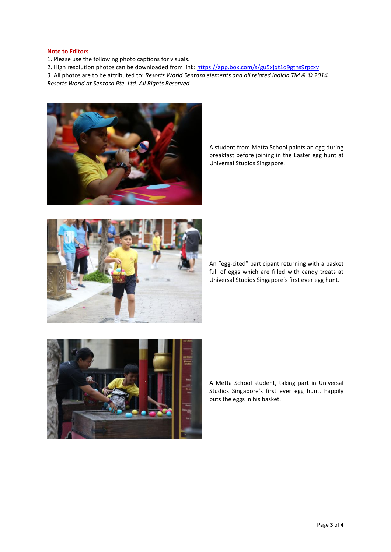#### **Note to Editors**

1. Please use the following photo captions for visuals.

2. High resolution photos can be downloaded from link:<https://app.box.com/s/gu5xjqt1d9gtns9rpcxv>

*3.* All photos are to be attributed to: *Resorts World Sentosa elements and all related indicia TM & © 2014 Resorts World at Sentosa Pte. Ltd. All Rights Reserved.* 



A student from Metta School paints an egg during breakfast before joining in the Easter egg hunt at Universal Studios Singapore.



An "egg-cited" participant returning with a basket full of eggs which are filled with candy treats at Universal Studios Singapore's first ever egg hunt.



A Metta School student, taking part in Universal Studios Singapore's first ever egg hunt, happily puts the eggs in his basket.